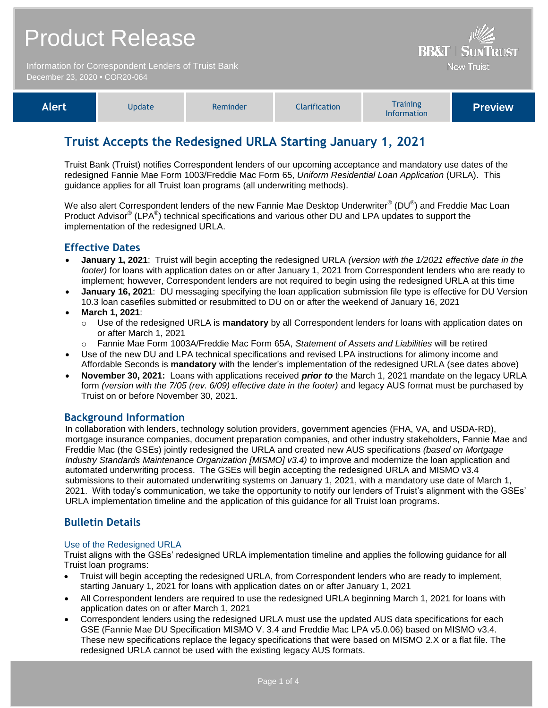| <b>Product Release</b><br>Information for Correspondent Lenders of Truist Bank<br>December 23, 2020 • COR20-064 |               |          |               | <b>BB&amp;T   SUNTRUST</b><br><b>Now Truist</b> |                |
|-----------------------------------------------------------------------------------------------------------------|---------------|----------|---------------|-------------------------------------------------|----------------|
| <b>Alert</b>                                                                                                    | <b>Update</b> | Reminder | Clarification | <b>Training</b><br>Information                  | <b>Preview</b> |

# **Truist Accepts the Redesigned URLA Starting January 1, 2021**

Truist Bank (Truist) notifies Correspondent lenders of our upcoming acceptance and mandatory use dates of the redesigned Fannie Mae Form 1003/Freddie Mac Form 65, *Uniform Residential Loan Application* (URLA). This guidance applies for all Truist loan programs (all underwriting methods).

We also alert Correspondent lenders of the new Fannie Mae Desktop Underwriter $^{\circledast}$  (DU $^{\circledast}$ ) and Freddie Mac Loan Product Advisor<sup>®</sup> (LPA<sup>®</sup>) technical specifications and various other DU and LPA updates to support the implementation of the redesigned URLA.

### **Effective Dates**

- **January 1, 2021**: Truist will begin accepting the redesigned URLA *(version with the 1/2021 effective date in the footer)* for loans with application dates on or after January 1, 2021 from Correspondent lenders who are ready to implement; however, Correspondent lenders are not required to begin using the redesigned URLA at this time
- **January 16, 2021**: DU messaging specifying the loan application submission file type is effective for DU Version 10.3 loan casefiles submitted or resubmitted to DU on or after the weekend of January 16, 2021
- **March 1, 2021**:
	- Use of the redesigned URLA is **mandatory** by all Correspondent lenders for loans with application dates on or after March 1, 2021
	- o Fannie Mae Form 1003A/Freddie Mac Form 65A, *Statement of Assets and Liabilities* will be retired
- Use of the new DU and LPA technical specifications and revised LPA instructions for alimony income and Affordable Seconds is **mandatory** with the lender's implementation of the redesigned URLA (see dates above)
- **November 30, 2021:** Loans with applications received *prior to* the March 1, 2021 mandate on the legacy URLA form *(version with the 7/05 (rev. 6/09) effective date in the footer)* and legacy AUS format must be purchased by Truist on or before November 30, 2021.

### **Background Information**

In collaboration with lenders, technology solution providers, government agencies (FHA, VA, and USDA-RD), mortgage insurance companies, document preparation companies, and other industry stakeholders, Fannie Mae and Freddie Mac (the GSEs) jointly redesigned the URLA and created new AUS specifications *(based on Mortgage Industry Standards Maintenance Organization [MISMO] v3.4)* to improve and modernize the loan application and automated underwriting process. The GSEs will begin accepting the redesigned URLA and MISMO v3.4 submissions to their automated underwriting systems on January 1, 2021, with a mandatory use date of March 1, 2021. With today's communication, we take the opportunity to notify our lenders of Truist's alignment with the GSEs' URLA implementation timeline and the application of this guidance for all Truist loan programs.

## **Bulletin Details**

#### Use of the Redesigned URLA

Truist aligns with the GSEs' redesigned URLA implementation timeline and applies the following guidance for all Truist loan programs:

- Truist will begin accepting the redesigned URLA, from Correspondent lenders who are ready to implement, starting January 1, 2021 for loans with application dates on or after January 1, 2021
- All Correspondent lenders are required to use the redesigned URLA beginning March 1, 2021 for loans with application dates on or after March 1, 2021
- Correspondent lenders using the redesigned URLA must use the updated AUS data specifications for each GSE (Fannie Mae DU Specification MISMO V. 3.4 and Freddie Mac LPA v5.0.06) based on MISMO v3.4. These new specifications replace the legacy specifications that were based on MISMO 2.X or a flat file. The redesigned URLA cannot be used with the existing legacy AUS formats.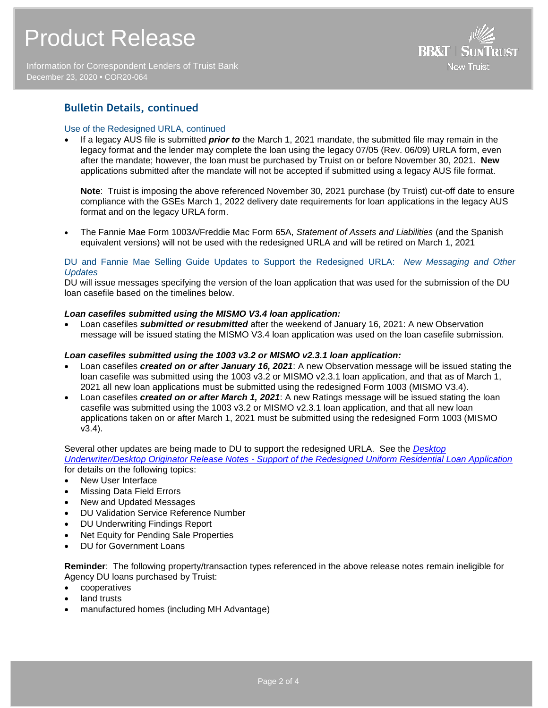Information for Correspondent Lenders of Truist Bank December 23, 2020 **•** COR20-064



## **Bulletin Details, continued**

#### Use of the Redesigned URLA, continued

 If a legacy AUS file is submitted *prior to* the March 1, 2021 mandate, the submitted file may remain in the legacy format and the lender may complete the loan using the legacy 07/05 (Rev. 06/09) URLA form, even after the mandate; however, the loan must be purchased by Truist on or before November 30, 2021. **New** applications submitted after the mandate will not be accepted if submitted using a legacy AUS file format.

**Note**: Truist is imposing the above referenced November 30, 2021 purchase (by Truist) cut-off date to ensure compliance with the GSEs March 1, 2022 delivery date requirements for loan applications in the legacy AUS format and on the legacy URLA form.

 The Fannie Mae Form 1003A/Freddie Mac Form 65A, *Statement of Assets and Liabilities* (and the Spanish equivalent versions) will not be used with the redesigned URLA and will be retired on March 1, 2021

#### DU and Fannie Mae Selling Guide Updates to Support the Redesigned URLA: *New Messaging and Other Updates*

DU will issue messages specifying the version of the loan application that was used for the submission of the DU loan casefile based on the timelines below.

#### *Loan casefiles submitted using the MISMO V3.4 loan application:*

 Loan casefiles *submitted or resubmitted* after the weekend of January 16, 2021: A new Observation message will be issued stating the MISMO V3.4 loan application was used on the loan casefile submission.

#### *Loan casefiles submitted using the 1003 v3.2 or MISMO v2.3.1 loan application:*

- Loan casefiles *created on or after January 16, 2021*: A new Observation message will be issued stating the loan casefile was submitted using the 1003 v3.2 or MISMO v2.3.1 loan application, and that as of March 1, 2021 all new loan applications must be submitted using the redesigned Form 1003 (MISMO V3.4).
- Loan casefiles *created on or after March 1, 2021*: A new Ratings message will be issued stating the loan casefile was submitted using the 1003 v3.2 or MISMO v2.3.1 loan application, and that all new loan applications taken on or after March 1, 2021 must be submitted using the redesigned Form 1003 (MISMO v3.4).

#### Several other updates are being made to DU to support the redesigned URLA. See the *[Desktop](https://singlefamily.fanniemae.com/media/document/pdf/du-support-redesign-urla-jan-1-2021)*

*Underwriter/Desktop Originator Release Notes - [Support of the Redesigned Uniform Residential Loan Application](https://singlefamily.fanniemae.com/media/document/pdf/du-support-redesign-urla-jan-1-2021)* for details on the following topics:

- New User Interface
- Missing Data Field Errors
- New and Updated Messages
- DU Validation Service Reference Number
- DU Underwriting Findings Report
- Net Equity for Pending Sale Properties
- DU for Government Loans

**Reminder**: The following property/transaction types referenced in the above release notes remain ineligible for Agency DU loans purchased by Truist:

- cooperatives
- land trusts
- manufactured homes (including MH Advantage)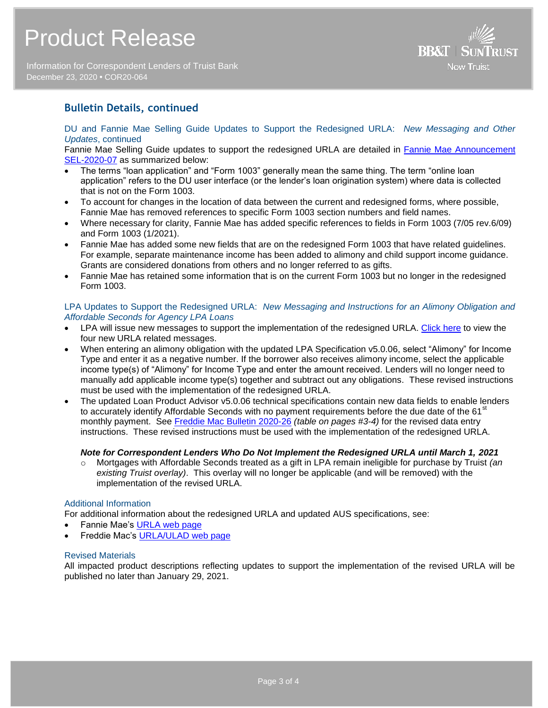Information for Correspondent Lenders of Truist Bank December 23, 2020 **•** COR20-064



## **Bulletin Details, continued**

DU and Fannie Mae Selling Guide Updates to Support the Redesigned URLA: *New Messaging and Other Updates*, continued

Fannie Mae Selling Guide updates to support the redesigned URLA are detailed in [Fannie Mae Announcement](https://singlefamily.fanniemae.com/media/document/pdf/announcement-sel-2020-07-selling-guide-updates)  [SEL-2020-07](https://singlefamily.fanniemae.com/media/document/pdf/announcement-sel-2020-07-selling-guide-updates) as summarized below:

- The terms "loan application" and "Form 1003" generally mean the same thing. The term "online loan application" refers to the DU user interface (or the lender's loan origination system) where data is collected that is not on the Form 1003.
- To account for changes in the location of data between the current and redesigned forms, where possible, Fannie Mae has removed references to specific Form 1003 section numbers and field names.
- Where necessary for clarity, Fannie Mae has added specific references to fields in Form 1003 (7/05 rev.6/09) and Form 1003 (1/2021).
- Fannie Mae has added some new fields that are on the redesigned Form 1003 that have related guidelines. For example, separate maintenance income has been added to alimony and child support income guidance. Grants are considered donations from others and no longer referred to as gifts.
- Fannie Mae has retained some information that is on the current Form 1003 but no longer in the redesigned Form 1003.

#### LPA Updates to Support the Redesigned URLA: *New Messaging and Instructions for an Alimony Obligation and Affordable Seconds for Agency LPA Loans*

- LPA will issue new messages to support the implementation of the redesigned URLA. [Click here](https://sf.freddiemac.com/content/_assets/resources/pdf/fact-sheet/december-2020-lpa-feedback-messages.pdf) to view the four new URLA related messages.
- When entering an alimony obligation with the updated LPA Specification v5.0.06, select "Alimony" for Income Type and enter it as a negative number. If the borrower also receives alimony income, select the applicable income type(s) of "Alimony" for Income Type and enter the amount received. Lenders will no longer need to manually add applicable income type(s) together and subtract out any obligations. These revised instructions must be used with the implementation of the redesigned URLA.
- The updated Loan Product Advisor v5.0.06 technical specifications contain new data fields to enable lenders to accurately identify Affordable Seconds with no payment requirements before the due date of the 61<sup>st</sup> monthly payment. See [Freddie Mac Bulletin 2020-26](https://guide.freddiemac.com/ci/okcsFattach/get/1003910_7) *(table on pages #3-4)* for the revised data entry instructions. These revised instructions must be used with the implementation of the redesigned URLA.

#### *Note for Correspondent Lenders Who Do Not Implement the Redesigned URLA until March 1, 2021*

o Mortgages with Affordable Seconds treated as a gift in LPA remain ineligible for purchase by Truist *(an existing Truist overlay)*. This overlay will no longer be applicable (and will be removed) with the implementation of the revised URLA.

#### Additional Information

For additional information about the redesigned URLA and updated AUS specifications, see:

- Fannie Mae's [URLA web page](https://www.fanniemae.com/singlefamily/uniform-residential-loan-application)
- Freddie Mac's [URLA/ULAD web page](https://sf.freddiemac.com/tools-learning/uniform-mortgage-data-program/ulad)

#### Revised Materials

All impacted product descriptions reflecting updates to support the implementation of the revised URLA will be published no later than January 29, 2021.